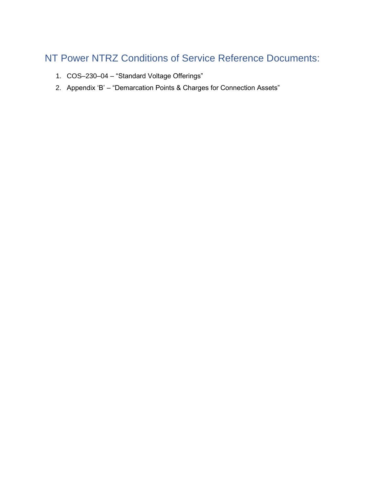# NT Power NTRZ Conditions of Service Reference Documents:

- 1. COS–230–04 "Standard Voltage Offerings"
- 2. Appendix 'B' "Demarcation Points & Charges for Connection Assets"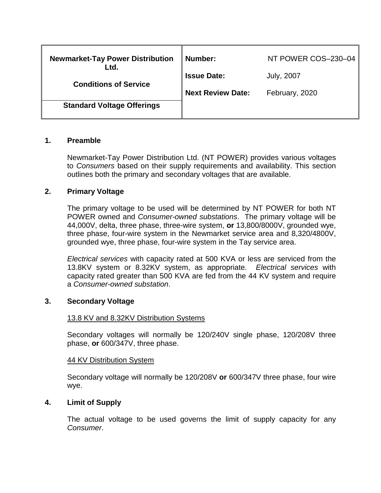| <b>Newmarket-Tay Power Distribution</b><br>Ltd. | Number:                  | NT POWER COS-230-04 |
|-------------------------------------------------|--------------------------|---------------------|
| <b>Conditions of Service</b>                    | <b>Issue Date:</b>       | <b>July, 2007</b>   |
|                                                 | <b>Next Review Date:</b> | February, 2020      |
| <b>Standard Voltage Offerings</b>               |                          |                     |

#### **1. Preamble**

Newmarket-Tay Power Distribution Ltd. (NT POWER) provides various voltages to *Consumers* based on their supply requirements and availability. This section outlines both the primary and secondary voltages that are available.

#### **2. Primary Voltage**

The primary voltage to be used will be determined by NT POWER for both NT POWER owned and *Consumer-owned substations*. The primary voltage will be 44,000V, delta, three phase, three-wire system, **or** 13,800/8000V, grounded wye, three phase, four-wire system in the Newmarket service area and 8,320/4800V, grounded wye, three phase, four-wire system in the Tay service area.

*Electrical services* with capacity rated at 500 KVA or less are serviced from the 13.8KV system or 8.32KV system, as appropriate. *Electrical services* with capacity rated greater than 500 KVA are fed from the 44 KV system and require a *Consumer-owned substation*.

#### **3. Secondary Voltage**

#### 13.8 KV and 8.32KV Distribution Systems

Secondary voltages will normally be 120/240V single phase, 120/208V three phase, **or** 600/347V, three phase.

#### 44 KV Distribution System

Secondary voltage will normally be 120/208V **or** 600/347V three phase, four wire wye.

#### **4. Limit of Supply**

The actual voltage to be used governs the limit of supply capacity for any *Consumer*.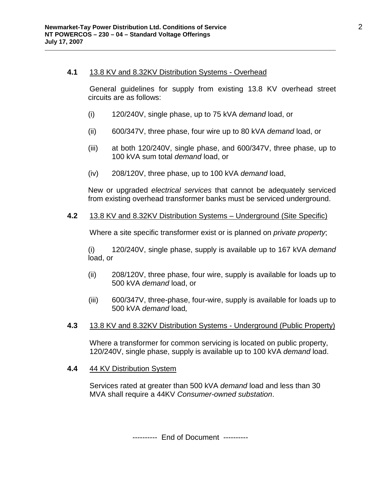#### **4.1** 13.8 KV and 8.32KV Distribution Systems - Overhead

General guidelines for supply from existing 13.8 KV overhead street circuits are as follows:

- (i) 120/240V, single phase, up to 75 kVA *demand* load, or
- (ii) 600/347V, three phase, four wire up to 80 kVA *demand* load, or
- (iii) at both 120/240V, single phase, and 600/347V, three phase, up to 100 kVA sum total *demand* load, or
- (iv) 208/120V, three phase, up to 100 kVA *demand* load,

New or upgraded *electrical services* that cannot be adequately serviced from existing overhead transformer banks must be serviced underground.

#### **4.2** 13.8 KV and 8.32KV Distribution Systems – Underground (Site Specific)

Where a site specific transformer exist or is planned on *private property*;

(i) 120/240V, single phase, supply is available up to 167 kVA *demand*  load, or

- (ii) 208/120V, three phase, four wire, supply is available for loads up to 500 kVA *demand* load, or
- (iii) 600/347V, three-phase, four-wire, supply is available for loads up to 500 kVA *demand* load*,*

#### **4.3** 13.8 KV and 8.32KV Distribution Systems - Underground (Public Property)

Where a transformer for common servicing is located on public property, 120/240V, single phase, supply is available up to 100 kVA *demand* load.

**4.4** 44 KV Distribution System

Services rated at greater than 500 kVA *demand* load and less than 30 MVA shall require a 44KV *Consumer-owned substation*.

---------- End of Document ----------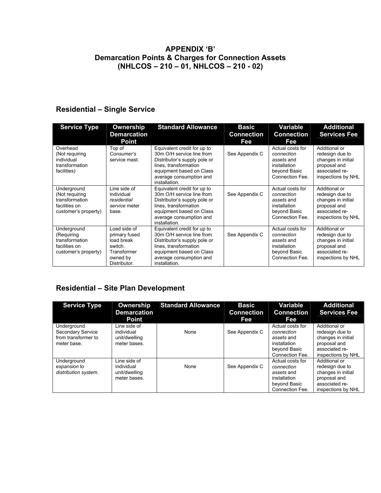## **APPENDIX 'B' Demarcation Points & Charges for Connection Assets (NHLCOS – 210 – 01, NHLCOS – 210 - 02)**

## **Residential – Single Service**

| <b>Service Type</b>                                                                      | Ownership<br><b>Demarcation</b><br>Point                                                          | <b>Standard Allowance</b>                                                                                                                                                                 | <b>Basic</b><br><b>Connection</b><br>Fee | Variable<br><b>Connection</b><br>Fee                                                            | <b>Additional</b><br><b>Services Fee</b>                                                                       |
|------------------------------------------------------------------------------------------|---------------------------------------------------------------------------------------------------|-------------------------------------------------------------------------------------------------------------------------------------------------------------------------------------------|------------------------------------------|-------------------------------------------------------------------------------------------------|----------------------------------------------------------------------------------------------------------------|
| Overhead<br>(Not requiring<br>individual<br>transformation<br>facilities)                | Top of<br>Consumer's<br>service mast.                                                             | Equivalent credit for up to<br>30m O/H service line from<br>Distributor's supply pole or<br>lines, transformation<br>equipment based on Class<br>average consumption and<br>installation. | See Appendix C                           | Actual costs for<br>connection<br>assets and<br>installation<br>beyond Basic<br>Connection Fee. | Additional or<br>redesign due to<br>changes in initial<br>proposal and<br>associated re-<br>inspections by NHL |
| Underground<br>(Not requiring<br>transformation<br>facilities on<br>customer's property) | Line side of<br>individual<br>residential<br>service meter<br>base.                               | Equivalent credit for up to<br>30m O/H service line from<br>Distributor's supply pole or<br>lines, transformation<br>equipment based on Class<br>average consumption and<br>installation. | See Appendix C                           | Actual costs for<br>connection<br>assets and<br>installation<br>beyond Basic<br>Connection Fee. | Additional or<br>redesign due to<br>changes in initial<br>proposal and<br>associated re-<br>inspections by NHL |
| Underground<br>(Reguiring<br>transformation<br>facilities on<br>customer's property)     | Load side of<br>primary fused<br>load break<br>switch.<br>Transformer<br>owned by<br>Distributor. | Equivalent credit for up to<br>30m O/H service line from<br>Distributor's supply pole or<br>lines, transformation<br>equipment based on Class<br>average consumption and<br>installation. | See Appendix C                           | Actual costs for<br>connection<br>assets and<br>installation<br>beyond Basic<br>Connection Fee. | Additional or<br>redesign due to<br>changes in initial<br>proposal and<br>associated re-<br>inspections by NHL |

### **Residential – Site Plan Development**

| <b>Service Type</b>                                                    | Ownership<br><b>Demarcation</b><br><b>Point</b>             | <b>Standard Allowance</b> | <b>Basic</b><br><b>Connection</b><br>Fee | Variable<br><b>Connection</b><br>Fee                                                            | <b>Additional</b><br><b>Services Fee</b>                                                                       |
|------------------------------------------------------------------------|-------------------------------------------------------------|---------------------------|------------------------------------------|-------------------------------------------------------------------------------------------------|----------------------------------------------------------------------------------------------------------------|
| Underground<br>Secondary Service<br>from transformer to<br>meter base. | Line side of<br>individual<br>unit/dwelling<br>meter bases. | None                      | See Appendix C                           | Actual costs for<br>connection<br>assets and<br>installation<br>beyond Basic<br>Connection Fee. | Additional or<br>redesign due to<br>changes in initial<br>proposal and<br>associated re-<br>inspections by NHL |
| Underground<br>expansion to<br>distribution system.                    | Line side of<br>individual<br>unit/dwelling<br>meter bases. | None                      | See Appendix C                           | Actual costs for<br>connection<br>assets and<br>installation<br>beyond Basic<br>Connection Fee. | Additional or<br>redesign due to<br>changes in initial<br>proposal and<br>associated re-<br>inspections by NHL |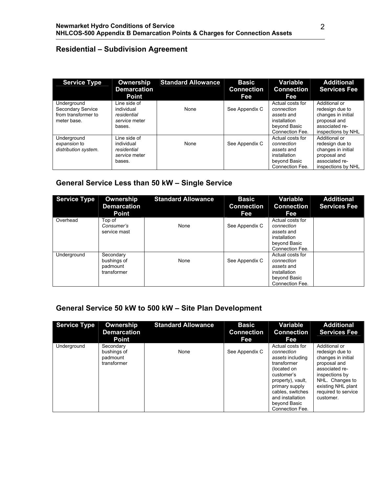## **Residential – Subdivision Agreement**

| <b>Service Type</b>                                                    | Ownership<br><b>Demarcation</b><br><b>Point</b>                      | <b>Standard Allowance</b> | Basic<br><b>Connection</b><br>Fee | Variable<br><b>Connection</b><br>Fee                                                            | <b>Additional</b><br><b>Services Fee</b>                                                                       |
|------------------------------------------------------------------------|----------------------------------------------------------------------|---------------------------|-----------------------------------|-------------------------------------------------------------------------------------------------|----------------------------------------------------------------------------------------------------------------|
| Underground<br>Secondary Service<br>from transformer to<br>meter base. | Line side of<br>individual<br>residential<br>service meter<br>bases. | None                      | See Appendix C                    | Actual costs for<br>connection<br>assets and<br>installation<br>beyond Basic<br>Connection Fee. | Additional or<br>redesign due to<br>changes in initial<br>proposal and<br>associated re-<br>inspections by NHL |
| Underground<br>expansion to<br>distribution system.                    | Line side of<br>individual<br>residential<br>service meter<br>bases. | None                      | See Appendix C                    | Actual costs for<br>connection<br>assets and<br>installation<br>beyond Basic<br>Connection Fee. | Additional or<br>redesign due to<br>changes in initial<br>proposal and<br>associated re-<br>inspections by NHL |

### **General Service Less than 50 kW – Single Service**

| <b>Service Type</b> | Ownership<br><b>Demarcation</b><br><b>Point</b>     | <b>Standard Allowance</b> | Basic<br>Connection<br>Fee | Variable<br><b>Connection</b><br>Fee                                                            | <b>Additional</b><br><b>Services Fee</b> |
|---------------------|-----------------------------------------------------|---------------------------|----------------------------|-------------------------------------------------------------------------------------------------|------------------------------------------|
| Overhead            | Top of<br>Consumer's<br>service mast                | None                      | See Appendix C             | Actual costs for<br>connection<br>assets and<br>installation<br>beyond Basic<br>Connection Fee. |                                          |
| Underground         | Secondary<br>bushings of<br>padmount<br>transformer | None                      | See Appendix C             | Actual costs for<br>connection<br>assets and<br>installation<br>beyond Basic<br>Connection Fee. |                                          |

## **General Service 50 kW to 500 kW – Site Plan Development**

| <b>Service Type</b> | Ownership<br><b>Demarcation</b><br><b>Point</b>     | <b>Standard Allowance</b> | Basic<br><b>Connection</b><br>Fee | Variable<br><b>Connection</b><br>Fee                                                                                                                                                                             | <b>Additional</b><br><b>Services Fee</b>                                                                                                                                                |
|---------------------|-----------------------------------------------------|---------------------------|-----------------------------------|------------------------------------------------------------------------------------------------------------------------------------------------------------------------------------------------------------------|-----------------------------------------------------------------------------------------------------------------------------------------------------------------------------------------|
| Underground         | Secondary<br>bushings of<br>padmount<br>transformer | None                      | See Appendix C                    | Actual costs for<br>connection<br>assets including<br>transformer<br>(located on<br>customer's<br>property), vault,<br>primary supply<br>cables, switches<br>and installation<br>beyond Basic<br>Connection Fee. | Additional or<br>redesign due to<br>changes in initial<br>proposal and<br>associated re-<br>inspections by<br>NHL. Changes to<br>existing NHL plant<br>required to service<br>customer. |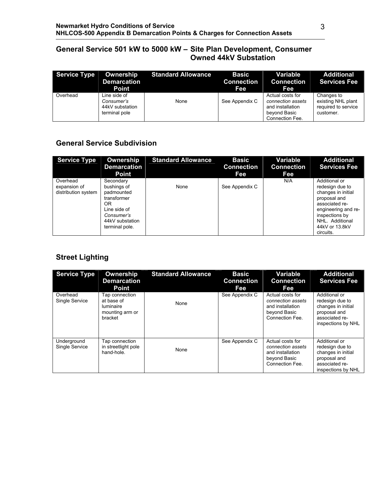## **General Service 501 kW to 5000 kW – Site Plan Development, Consumer Owned 44kV Substation**

| <b>Service Type</b> | Ownership<br><b>Demarcation</b><br><b>Point</b>                | <b>Standard Allowance</b> | <b>Basic</b><br><b>Connection</b><br>Fee | Variable<br><b>Connection</b><br>Fee                                                         | Additional<br><b>Services Fee</b>                                    |
|---------------------|----------------------------------------------------------------|---------------------------|------------------------------------------|----------------------------------------------------------------------------------------------|----------------------------------------------------------------------|
| Overhead            | Line side of<br>Consumer's<br>44kV substation<br>terminal pole | None                      | See Appendix C                           | Actual costs for<br>connection assets<br>and installation<br>beyond Basic<br>Connection Fee. | Changes to<br>existing NHL plant<br>required to service<br>customer. |

## **General Service Subdivision**

| <b>Service Type</b>                             | Ownership<br><b>Demarcation</b><br><b>Point</b>                                                                                | <b>Standard Allowance</b> | <b>Basic</b><br><b>Connection</b><br><b>Fee</b> | Variable<br><b>Connection</b><br>Fee | <b>Additional</b><br><b>Services Fee</b>                                                                                                                                            |
|-------------------------------------------------|--------------------------------------------------------------------------------------------------------------------------------|---------------------------|-------------------------------------------------|--------------------------------------|-------------------------------------------------------------------------------------------------------------------------------------------------------------------------------------|
| Overhead<br>expansion of<br>distribution system | Secondary<br>bushings of<br>padmounted<br>transformer<br>OR<br>Line side of<br>Consumer's<br>44kV substation<br>terminal pole. | None                      | See Appendix C                                  | N/A                                  | Additional or<br>redesign due to<br>changes in initial<br>proposal and<br>associated re-<br>engineering and re-<br>inspections by<br>NHL. Additional<br>44kV or 13.8kV<br>circuits. |

# **Street Lighting**

| <b>Service Type</b>           | Ownership<br><b>Demarcation</b><br><b>Point</b>                         | <b>Standard Allowance</b> | <b>Basic</b><br><b>Connection</b><br>Fee | Variable<br><b>Connection</b><br>Fee                                                         | <b>Additional</b><br><b>Services Fee</b>                                                                       |
|-------------------------------|-------------------------------------------------------------------------|---------------------------|------------------------------------------|----------------------------------------------------------------------------------------------|----------------------------------------------------------------------------------------------------------------|
| Overhead<br>Single Service    | Tap connection<br>at base of<br>luminaire<br>mounting arm or<br>bracket | None                      | See Appendix C                           | Actual costs for<br>connection assets<br>and installation<br>beyond Basic<br>Connection Fee. | Additional or<br>redesign due to<br>changes in initial<br>proposal and<br>associated re-<br>inspections by NHL |
| Underground<br>Single Service | Tap connection<br>in streetlight pole<br>hand-hole.                     | None                      | See Appendix C                           | Actual costs for<br>connection assets<br>and installation<br>beyond Basic<br>Connection Fee. | Additional or<br>redesign due to<br>changes in initial<br>proposal and<br>associated re-<br>inspections by NHL |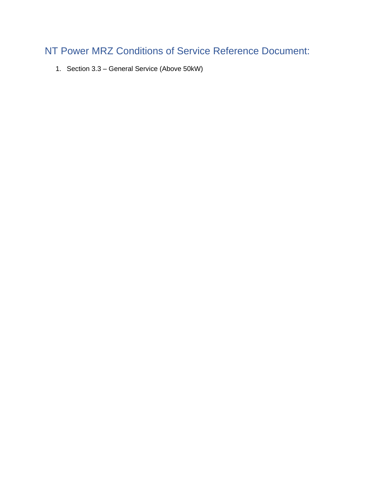# NT Power MRZ Conditions of Service Reference Document:

1. Section 3.3 – General Service (Above 50kW)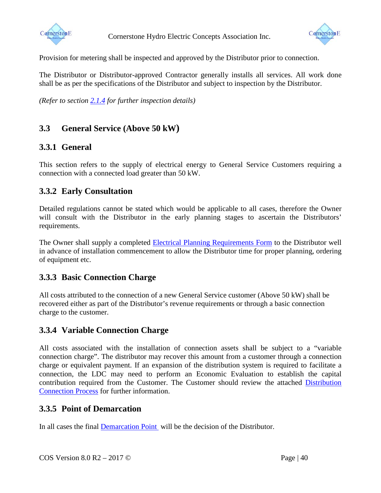

Cornerstone Hydro Electric Concepts Association Inc.



Provision for metering shall be inspected and approved by the Distributor prior to connection.

The Distributor or Distributor-approved Contractor generally installs all services. All work done shall be as per the specifications of the Distributor and subject to inspection by the Distributor.

*(Refer to section [2.1.4](#page--1-0) for further inspection details)*

# **3.3 General Service (Above 50 kW)**

# **3.3.1 General**

This section refers to the supply of electrical energy to General Service Customers requiring a connection with a connected load greater than 50 kW.

# **3.3.2 Early Consultation**

Detailed regulations cannot be stated which would be applicable to all cases, therefore the Owner will consult with the Distributor in the early planning stages to ascertain the Distributors' requirements.

The Owner shall supply a completed **Electrical Planning Requirements Form** to the Distributor well in advance of installation commencement to allow the Distributor time for proper planning, ordering of equipment etc.

# **3.3.3 Basic Connection Charge**

All costs attributed to the connection of a new General Service customer (Above 50 kW) shall be recovered either as part of the Distributor's revenue requirements or through a basic connection charge to the customer.

## **3.3.4 Variable Connection Charge**

All costs associated with the installation of connection assets shall be subject to a "variable connection charge". The distributor may recover this amount from a customer through a connection charge or equivalent payment. If an expansion of the distribution system is required to facilitate a connection, the LDC may need to perform an Economic Evaluation to establish the capital contribution required from the Customer. The Customer should review the attached [Distribution](#page--1-2)  [Connection Process](#page--1-2) for further information.

# **3.3.5 Point of Demarcation**

In all cases the final [Demarcation Point](#page--1-3) will be the decision of the Distributor.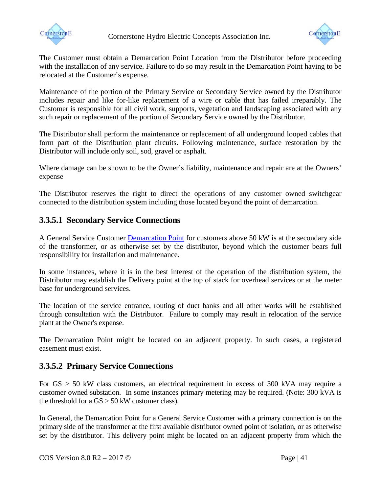

Cornerstone Hydro Electric Concepts Association Inc.



The Customer must obtain a [Demarcation Point](#page--1-3) Location from the Distributor before proceeding with the installation of any service. Failure to do so may result in the [Demarcation Point](#page--1-3) having to be relocated at the Customer's expense.

Maintenance of the portion of the Primary Service or Secondary Service owned by the Distributor includes repair and like for-like replacement of a wire or cable that has failed irreparably. The Customer is responsible for all civil work, supports, vegetation and landscaping associated with any such repair or replacement of the portion of Secondary Service owned by the Distributor.

The Distributor shall perform the maintenance or replacement of all underground looped cables that form part of the Distribution plant circuits. Following maintenance, surface restoration by the Distributor will include only soil, sod, gravel or asphalt.

Where damage can be shown to be the Owner's liability, maintenance and repair are at the Owners' expense

The Distributor reserves the right to direct the operations of any customer owned switchgear connected to the distribution system including those located beyond the point of demarcation.

# **3.3.5.1 Secondary Service Connections**

A General Service Customer [Demarcation Point](#page--1-3) for customers above 50 kW is at the secondary side of the transformer, or as otherwise set by the distributor, beyond which the customer bears full responsibility for installation and maintenance.

In some instances, where it is in the best interest of the operation of the distribution system, the Distributor may establish the Delivery point at the top of stack for overhead services or at the meter base for underground services.

The location of the service entrance, routing of duct banks and all other works will be established through consultation with the Distributor. Failure to comply may result in relocation of the service plant at the Owner's expense.

The Demarcation Point might be located on an adjacent property. In such cases, a registered easement must exist.

# **3.3.5.2 Primary Service Connections**

For GS > 50 kW class customers, an electrical requirement in excess of 300 kVA may require a customer owned substation. In some instances primary metering may be required. (Note: 300 kVA is the threshold for a  $GS > 50$  kW customer class).

In General, the Demarcation Point for a General Service Customer with a primary connection is on the primary side of the transformer at the first available distributor owned point of isolation, or as otherwise set by the distributor. This delivery point might be located on an adjacent property from which the